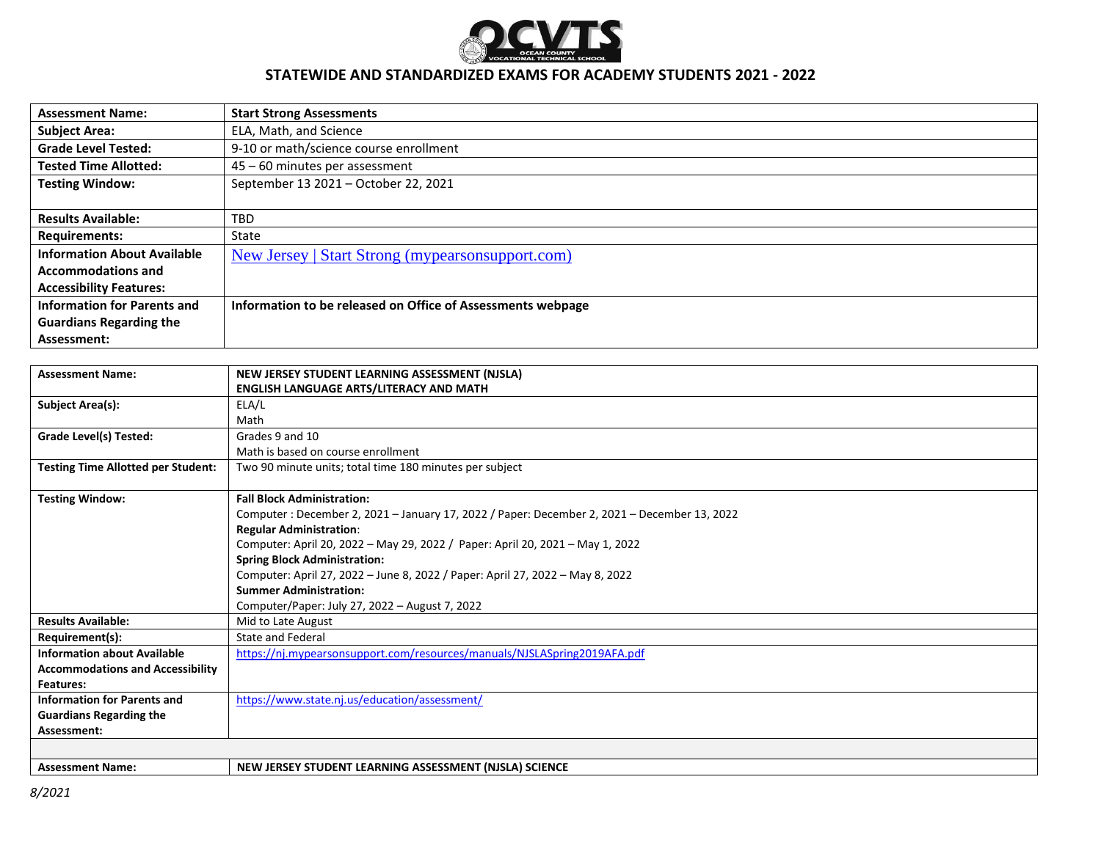

## **STATEWIDE AND STANDARDIZED EXAMS FOR ACADEMY STUDENTS 2021 - 2022**

| <b>Assessment Name:</b>            | <b>Start Strong Assessments</b>                             |
|------------------------------------|-------------------------------------------------------------|
| <b>Subject Area:</b>               | ELA, Math, and Science                                      |
| <b>Grade Level Tested:</b>         | 9-10 or math/science course enrollment                      |
| <b>Tested Time Allotted:</b>       | 45 – 60 minutes per assessment                              |
| <b>Testing Window:</b>             | September 13 2021 - October 22, 2021                        |
|                                    |                                                             |
| <b>Results Available:</b>          | TBD                                                         |
| <b>Requirements:</b>               | State                                                       |
| <b>Information About Available</b> | New Jersey   Start Strong (mypearson support.com)           |
| <b>Accommodations and</b>          |                                                             |
| <b>Accessibility Features:</b>     |                                                             |
| <b>Information for Parents and</b> | Information to be released on Office of Assessments webpage |
| <b>Guardians Regarding the</b>     |                                                             |
| Assessment:                        |                                                             |

| <b>Assessment Name:</b>                   | NEW JERSEY STUDENT LEARNING ASSESSMENT (NJSLA)                                              |
|-------------------------------------------|---------------------------------------------------------------------------------------------|
|                                           | <b>ENGLISH LANGUAGE ARTS/LITERACY AND MATH</b>                                              |
| <b>Subject Area(s):</b>                   | ELA/L                                                                                       |
|                                           | Math                                                                                        |
| Grade Level(s) Tested:                    | Grades 9 and 10                                                                             |
|                                           | Math is based on course enrollment                                                          |
| <b>Testing Time Allotted per Student:</b> | Two 90 minute units; total time 180 minutes per subject                                     |
| <b>Testing Window:</b>                    | <b>Fall Block Administration:</b>                                                           |
|                                           | Computer: December 2, 2021 - January 17, 2022 / Paper: December 2, 2021 - December 13, 2022 |
|                                           | <b>Regular Administration:</b>                                                              |
|                                           | Computer: April 20, 2022 - May 29, 2022 / Paper: April 20, 2021 - May 1, 2022               |
|                                           | <b>Spring Block Administration:</b>                                                         |
|                                           | Computer: April 27, 2022 - June 8, 2022 / Paper: April 27, 2022 - May 8, 2022               |
|                                           | <b>Summer Administration:</b>                                                               |
|                                           | Computer/Paper: July 27, 2022 - August 7, 2022                                              |
| <b>Results Available:</b>                 | Mid to Late August                                                                          |
| Requirement(s):                           | <b>State and Federal</b>                                                                    |
| <b>Information about Available</b>        | https://nj.mypearsonsupport.com/resources/manuals/NJSLASpring2019AFA.pdf                    |
| <b>Accommodations and Accessibility</b>   |                                                                                             |
| <b>Features:</b>                          |                                                                                             |
| <b>Information for Parents and</b>        | https://www.state.nj.us/education/assessment/                                               |
| <b>Guardians Regarding the</b>            |                                                                                             |
| Assessment:                               |                                                                                             |
|                                           |                                                                                             |
| <b>Assessment Name:</b>                   | NEW JERSEY STUDENT LEARNING ASSESSMENT (NJSLA) SCIENCE                                      |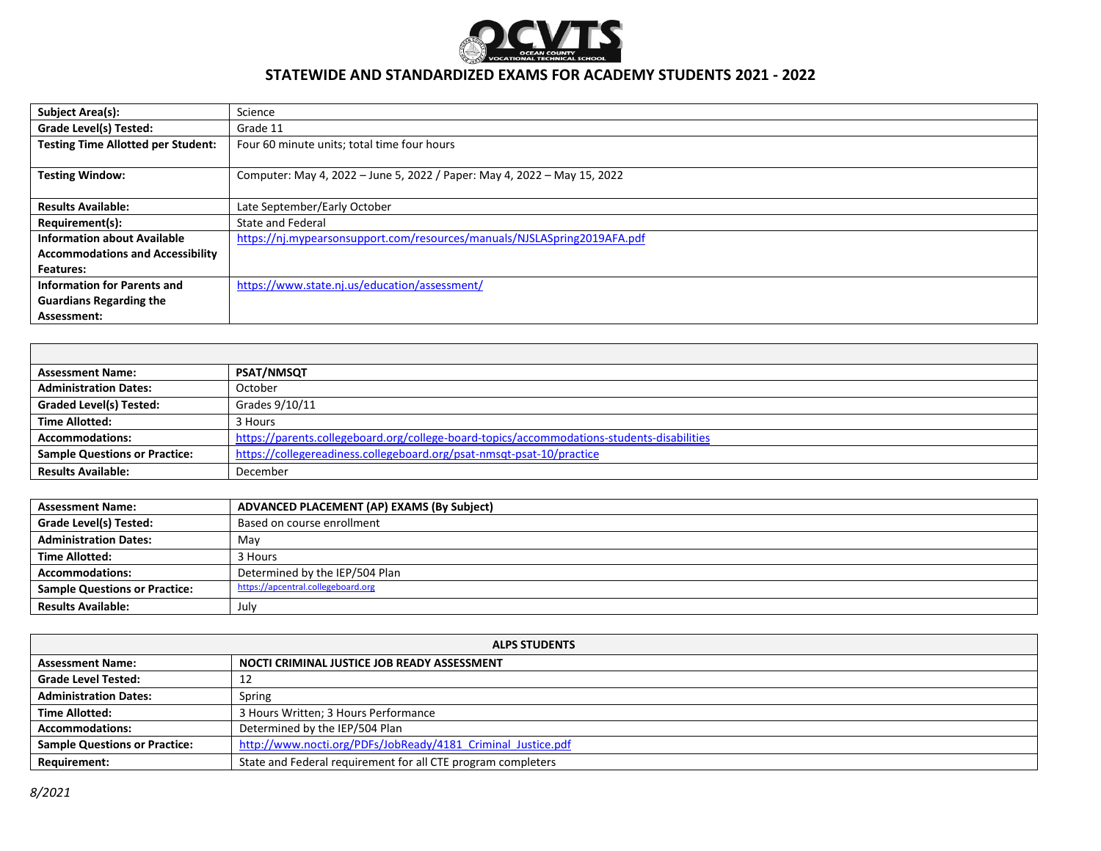

## **STATEWIDE AND STANDARDIZED EXAMS FOR ACADEMY STUDENTS 2021 - 2022**

| <b>Subject Area(s):</b>                   | Science                                                                  |
|-------------------------------------------|--------------------------------------------------------------------------|
| <b>Grade Level(s) Tested:</b>             | Grade 11                                                                 |
| <b>Testing Time Allotted per Student:</b> | Four 60 minute units; total time four hours                              |
|                                           |                                                                          |
| <b>Testing Window:</b>                    | Computer: May 4, 2022 - June 5, 2022 / Paper: May 4, 2022 - May 15, 2022 |
|                                           |                                                                          |
| <b>Results Available:</b>                 | Late September/Early October                                             |
| Requirement(s):                           | <b>State and Federal</b>                                                 |
| <b>Information about Available</b>        | https://nj.mypearsonsupport.com/resources/manuals/NJSLASpring2019AFA.pdf |
| <b>Accommodations and Accessibility</b>   |                                                                          |
| <b>Features:</b>                          |                                                                          |
| <b>Information for Parents and</b>        | https://www.state.nj.us/education/assessment/                            |
| <b>Guardians Regarding the</b>            |                                                                          |
| Assessment:                               |                                                                          |

| <b>Assessment Name:</b>              | <b>PSAT/NMSQT</b>                                                                          |
|--------------------------------------|--------------------------------------------------------------------------------------------|
| <b>Administration Dates:</b>         | October                                                                                    |
| <b>Graded Level(s) Tested:</b>       | Grades 9/10/11                                                                             |
| <b>Time Allotted:</b>                | 3 Hours                                                                                    |
| <b>Accommodations:</b>               | https://parents.collegeboard.org/college-board-topics/accommodations-students-disabilities |
| <b>Sample Questions or Practice:</b> | https://collegereadiness.collegeboard.org/psat-nmsqt-psat-10/practice                      |
| <b>Results Available:</b>            | December                                                                                   |

| <b>Assessment Name:</b>              | ADVANCED PLACEMENT (AP) EXAMS (By Subject) |
|--------------------------------------|--------------------------------------------|
| Grade Level(s) Tested:               | Based on course enrollment                 |
| <b>Administration Dates:</b>         | Mav                                        |
| <b>Time Allotted:</b>                | 3 Hours                                    |
| <b>Accommodations:</b>               | Determined by the IEP/504 Plan             |
| <b>Sample Questions or Practice:</b> | https://apcentral.collegeboard.org         |
| <b>Results Available:</b>            | July                                       |

| <b>ALPS STUDENTS</b>                 |                                                              |
|--------------------------------------|--------------------------------------------------------------|
| <b>Assessment Name:</b>              | NOCTI CRIMINAL JUSTICE JOB READY ASSESSMENT                  |
| <b>Grade Level Tested:</b>           |                                                              |
| <b>Administration Dates:</b>         | Spring                                                       |
| <b>Time Allotted:</b>                | 3 Hours Written; 3 Hours Performance                         |
| <b>Accommodations:</b>               | Determined by the IEP/504 Plan                               |
| <b>Sample Questions or Practice:</b> | http://www.nocti.org/PDFs/JobReady/4181 Criminal Justice.pdf |
| <b>Requirement:</b>                  | State and Federal requirement for all CTE program completers |